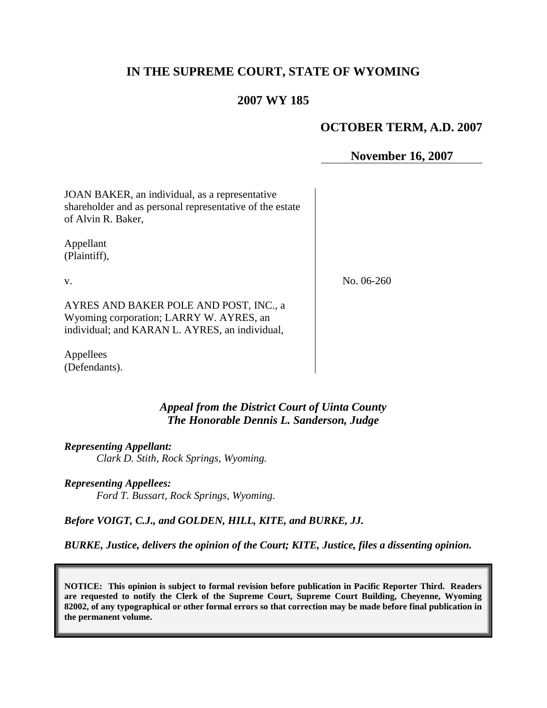# **IN THE SUPREME COURT, STATE OF WYOMING**

### **2007 WY 185**

### **OCTOBER TERM, A.D. 2007**

**November 16, 2007**

JOAN BAKER, an individual, as a representative shareholder and as personal representative of the estate of Alvin R. Baker,

Appellant (Plaintiff),

v.

AYRES AND BAKER POLE AND POST, INC., a

Wyoming corporation; LARRY W. AYRES, an individual; and KARAN L. AYRES, an individual,

Appellees (Defendants).

> *Appeal from the District Court of Uinta County The Honorable Dennis L. Sanderson, Judge*

*Representing Appellant:*

*Clark D. Stith, Rock Springs, Wyoming.*

*Representing Appellees:*

*Ford T. Bussart, Rock Springs, Wyoming.*

*Before VOIGT, C.J., and GOLDEN, HILL, KITE, and BURKE, JJ.*

*BURKE, Justice, delivers the opinion of the Court; KITE, Justice, files a dissenting opinion.*

**NOTICE: This opinion is subject to formal revision before publication in Pacific Reporter Third. Readers are requested to notify the Clerk of the Supreme Court, Supreme Court Building, Cheyenne, Wyoming 82002, of any typographical or other formal errors so that correction may be made before final publication in the permanent volume.**

No. 06-260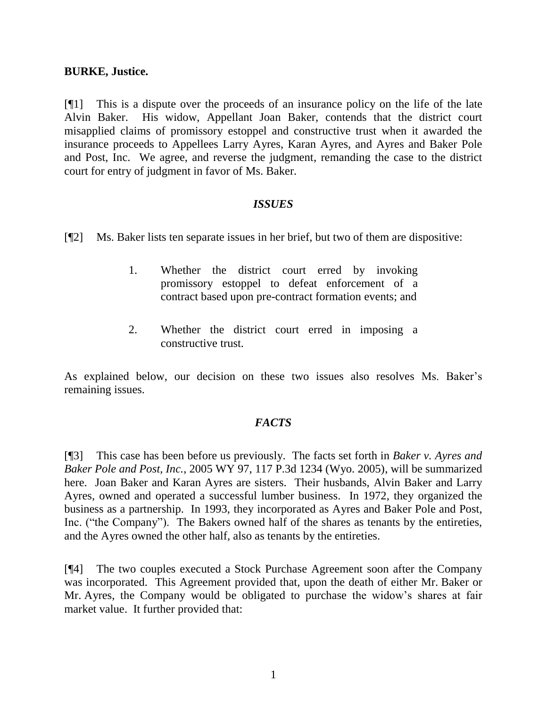#### **BURKE, Justice.**

[¶1] This is a dispute over the proceeds of an insurance policy on the life of the late Alvin Baker. His widow, Appellant Joan Baker, contends that the district court misapplied claims of promissory estoppel and constructive trust when it awarded the insurance proceeds to Appellees Larry Ayres, Karan Ayres, and Ayres and Baker Pole and Post, Inc. We agree, and reverse the judgment, remanding the case to the district court for entry of judgment in favor of Ms. Baker.

#### *ISSUES*

[¶2] Ms. Baker lists ten separate issues in her brief, but two of them are dispositive:

- 1. Whether the district court erred by invoking promissory estoppel to defeat enforcement of a contract based upon pre-contract formation events; and
- 2. Whether the district court erred in imposing a constructive trust.

As explained below, our decision on these two issues also resolves Ms. Baker's remaining issues.

## *FACTS*

[¶3] This case has been before us previously. The facts set forth in *Baker v. Ayres and Baker Pole and Post, Inc.*, 2005 WY 97, 117 P.3d 1234 (Wyo. 2005), will be summarized here. Joan Baker and Karan Ayres are sisters. Their husbands, Alvin Baker and Larry Ayres, owned and operated a successful lumber business. In 1972, they organized the business as a partnership. In 1993, they incorporated as Ayres and Baker Pole and Post, Inc. ("the Company"). The Bakers owned half of the shares as tenants by the entireties, and the Ayres owned the other half, also as tenants by the entireties.

[¶4] The two couples executed a Stock Purchase Agreement soon after the Company was incorporated. This Agreement provided that, upon the death of either Mr. Baker or Mr. Ayres, the Company would be obligated to purchase the widow's shares at fair market value. It further provided that: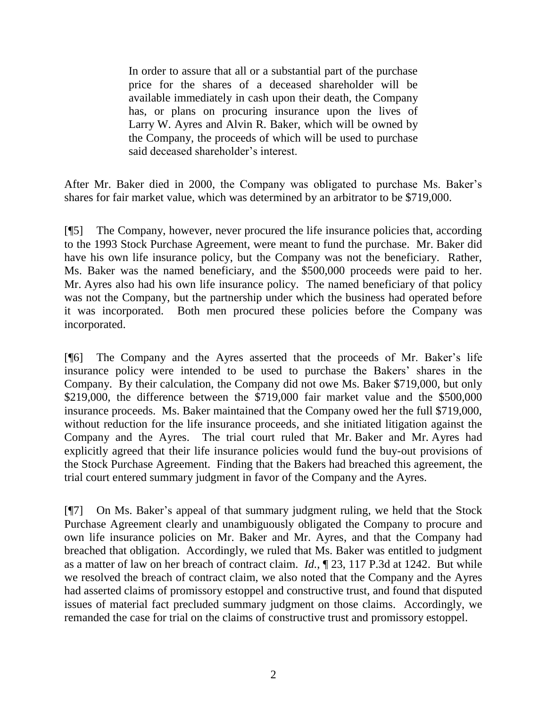In order to assure that all or a substantial part of the purchase price for the shares of a deceased shareholder will be available immediately in cash upon their death, the Company has, or plans on procuring insurance upon the lives of Larry W. Ayres and Alvin R. Baker, which will be owned by the Company, the proceeds of which will be used to purchase said deceased shareholder's interest.

After Mr. Baker died in 2000, the Company was obligated to purchase Ms. Baker's shares for fair market value, which was determined by an arbitrator to be \$719,000.

[¶5] The Company, however, never procured the life insurance policies that, according to the 1993 Stock Purchase Agreement, were meant to fund the purchase. Mr. Baker did have his own life insurance policy, but the Company was not the beneficiary. Rather, Ms. Baker was the named beneficiary, and the \$500,000 proceeds were paid to her. Mr. Ayres also had his own life insurance policy. The named beneficiary of that policy was not the Company, but the partnership under which the business had operated before it was incorporated. Both men procured these policies before the Company was incorporated.

[¶6] The Company and the Ayres asserted that the proceeds of Mr. Baker's life insurance policy were intended to be used to purchase the Bakers' shares in the Company. By their calculation, the Company did not owe Ms. Baker \$719,000, but only \$219,000, the difference between the \$719,000 fair market value and the \$500,000 insurance proceeds. Ms. Baker maintained that the Company owed her the full \$719,000, without reduction for the life insurance proceeds, and she initiated litigation against the Company and the Ayres. The trial court ruled that Mr. Baker and Mr. Ayres had explicitly agreed that their life insurance policies would fund the buy-out provisions of the Stock Purchase Agreement. Finding that the Bakers had breached this agreement, the trial court entered summary judgment in favor of the Company and the Ayres.

[¶7] On Ms. Baker's appeal of that summary judgment ruling, we held that the Stock Purchase Agreement clearly and unambiguously obligated the Company to procure and own life insurance policies on Mr. Baker and Mr. Ayres, and that the Company had breached that obligation. Accordingly, we ruled that Ms. Baker was entitled to judgment as a matter of law on her breach of contract claim. *Id.*, ¶ 23, 117 P.3d at 1242. But while we resolved the breach of contract claim, we also noted that the Company and the Ayres had asserted claims of promissory estoppel and constructive trust, and found that disputed issues of material fact precluded summary judgment on those claims. Accordingly, we remanded the case for trial on the claims of constructive trust and promissory estoppel.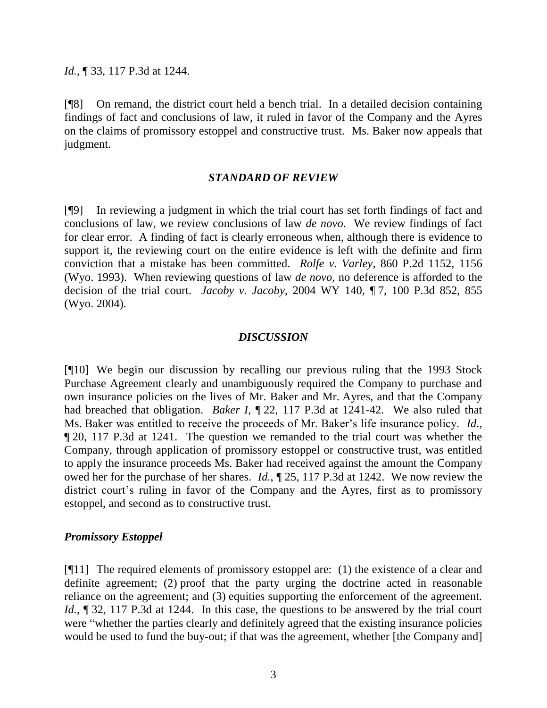#### *Id.*, ¶ 33, 117 P.3d at 1244.

[¶8] On remand, the district court held a bench trial. In a detailed decision containing findings of fact and conclusions of law, it ruled in favor of the Company and the Ayres on the claims of promissory estoppel and constructive trust. Ms. Baker now appeals that judgment.

#### *STANDARD OF REVIEW*

[¶9] In reviewing a judgment in which the trial court has set forth findings of fact and conclusions of law, we review conclusions of law *de novo*. We review findings of fact for clear error. A finding of fact is clearly erroneous when, although there is evidence to support it, the reviewing court on the entire evidence is left with the definite and firm conviction that a mistake has been committed. *Rolfe v. Varley*, 860 P.2d 1152, 1156 (Wyo. 1993). When reviewing questions of law *de novo*, no deference is afforded to the decision of the trial court. *Jacoby v. Jacoby*, 2004 WY 140, ¶ 7, 100 P.3d 852, 855 (Wyo. 2004).

#### *DISCUSSION*

[¶10] We begin our discussion by recalling our previous ruling that the 1993 Stock Purchase Agreement clearly and unambiguously required the Company to purchase and own insurance policies on the lives of Mr. Baker and Mr. Ayres, and that the Company had breached that obligation. *Baker I*, ¶ 22, 117 P.3d at 1241-42. We also ruled that Ms. Baker was entitled to receive the proceeds of Mr. Baker's life insurance policy. *Id*., ¶ 20, 117 P.3d at 1241. The question we remanded to the trial court was whether the Company, through application of promissory estoppel or constructive trust, was entitled to apply the insurance proceeds Ms. Baker had received against the amount the Company owed her for the purchase of her shares. *Id.*, ¶ 25, 117 P.3d at 1242. We now review the district court's ruling in favor of the Company and the Ayres, first as to promissory estoppel, and second as to constructive trust.

#### *Promissory Estoppel*

[¶11] The required elements of promissory estoppel are: (1) the existence of a clear and definite agreement; (2) proof that the party urging the doctrine acted in reasonable reliance on the agreement; and (3) equities supporting the enforcement of the agreement. *Id.*, 132, 117 P.3d at 1244. In this case, the questions to be answered by the trial court were "whether the parties clearly and definitely agreed that the existing insurance policies would be used to fund the buy-out; if that was the agreement, whether [the Company and]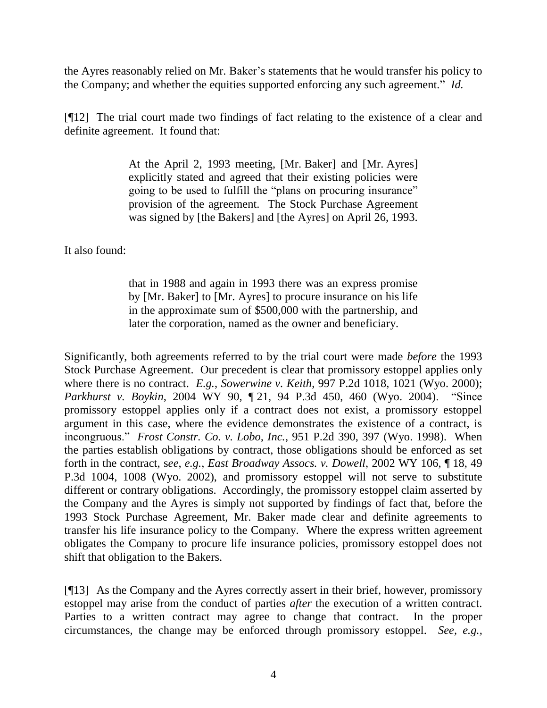the Ayres reasonably relied on Mr. Baker's statements that he would transfer his policy to the Company; and whether the equities supported enforcing any such agreement." *Id.*

[¶12] The trial court made two findings of fact relating to the existence of a clear and definite agreement. It found that:

> At the April 2, 1993 meeting, [Mr. Baker] and [Mr. Ayres] explicitly stated and agreed that their existing policies were going to be used to fulfill the "plans on procuring insurance" provision of the agreement. The Stock Purchase Agreement was signed by [the Bakers] and [the Ayres] on April 26, 1993.

It also found:

that in 1988 and again in 1993 there was an express promise by [Mr. Baker] to [Mr. Ayres] to procure insurance on his life in the approximate sum of \$500,000 with the partnership, and later the corporation, named as the owner and beneficiary.

Significantly, both agreements referred to by the trial court were made *before* the 1993 Stock Purchase Agreement. Our precedent is clear that promissory estoppel applies only where there is no contract. *E.g.*, *Sowerwine v. Keith*, 997 P.2d 1018, 1021 (Wyo. 2000); *Parkhurst v. Boykin*, 2004 WY 90, ¶ 21, 94 P.3d 450, 460 (Wyo. 2004). "Since promissory estoppel applies only if a contract does not exist, a promissory estoppel argument in this case, where the evidence demonstrates the existence of a contract, is incongruous." *Frost Constr. Co. v. Lobo, Inc.*, 951 P.2d 390, 397 (Wyo. 1998). When the parties establish obligations by contract, those obligations should be enforced as set forth in the contract, s*ee*, *e.g.*, *East Broadway Assocs. v. Dowell*, 2002 WY 106, ¶ 18, 49 P.3d 1004, 1008 (Wyo. 2002), and promissory estoppel will not serve to substitute different or contrary obligations. Accordingly, the promissory estoppel claim asserted by the Company and the Ayres is simply not supported by findings of fact that, before the 1993 Stock Purchase Agreement, Mr. Baker made clear and definite agreements to transfer his life insurance policy to the Company. Where the express written agreement obligates the Company to procure life insurance policies, promissory estoppel does not shift that obligation to the Bakers.

[¶13] As the Company and the Ayres correctly assert in their brief, however, promissory estoppel may arise from the conduct of parties *after* the execution of a written contract. Parties to a written contract may agree to change that contract. In the proper circumstances, the change may be enforced through promissory estoppel. *See, e.g.,*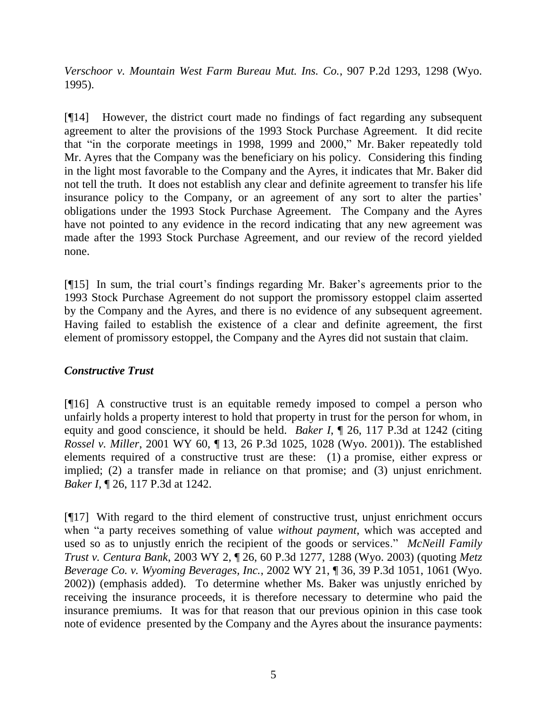*Verschoor v. Mountain West Farm Bureau Mut. Ins. Co.*, 907 P.2d 1293, 1298 (Wyo. 1995).

[¶14] However, the district court made no findings of fact regarding any subsequent agreement to alter the provisions of the 1993 Stock Purchase Agreement. It did recite that "in the corporate meetings in 1998, 1999 and 2000," Mr. Baker repeatedly told Mr. Ayres that the Company was the beneficiary on his policy. Considering this finding in the light most favorable to the Company and the Ayres, it indicates that Mr. Baker did not tell the truth. It does not establish any clear and definite agreement to transfer his life insurance policy to the Company, or an agreement of any sort to alter the parties' obligations under the 1993 Stock Purchase Agreement. The Company and the Ayres have not pointed to any evidence in the record indicating that any new agreement was made after the 1993 Stock Purchase Agreement, and our review of the record yielded none.

[¶15] In sum, the trial court's findings regarding Mr. Baker's agreements prior to the 1993 Stock Purchase Agreement do not support the promissory estoppel claim asserted by the Company and the Ayres, and there is no evidence of any subsequent agreement. Having failed to establish the existence of a clear and definite agreement, the first element of promissory estoppel, the Company and the Ayres did not sustain that claim.

## *Constructive Trust*

[¶16] A constructive trust is an equitable remedy imposed to compel a person who unfairly holds a property interest to hold that property in trust for the person for whom, in equity and good conscience, it should be held. *Baker I*, ¶ 26, 117 P.3d at 1242 (citing *Rossel v. Miller*, 2001 WY 60, ¶ 13, 26 P.3d 1025, 1028 (Wyo. 2001)). The established elements required of a constructive trust are these: (1) a promise, either express or implied; (2) a transfer made in reliance on that promise; and (3) unjust enrichment. *Baker I*, ¶ 26, 117 P.3d at 1242.

[¶17] With regard to the third element of constructive trust, unjust enrichment occurs when "a party receives something of value *without payment*, which was accepted and used so as to unjustly enrich the recipient of the goods or services." *McNeill Family Trust v. Centura Bank*, 2003 WY 2, ¶ 26, 60 P.3d 1277, 1288 (Wyo. 2003) (quoting *Metz Beverage Co. v. Wyoming Beverages, Inc.*, 2002 WY 21, ¶ 36, 39 P.3d 1051, 1061 (Wyo. 2002)) (emphasis added). To determine whether Ms. Baker was unjustly enriched by receiving the insurance proceeds, it is therefore necessary to determine who paid the insurance premiums. It was for that reason that our previous opinion in this case took note of evidence presented by the Company and the Ayres about the insurance payments: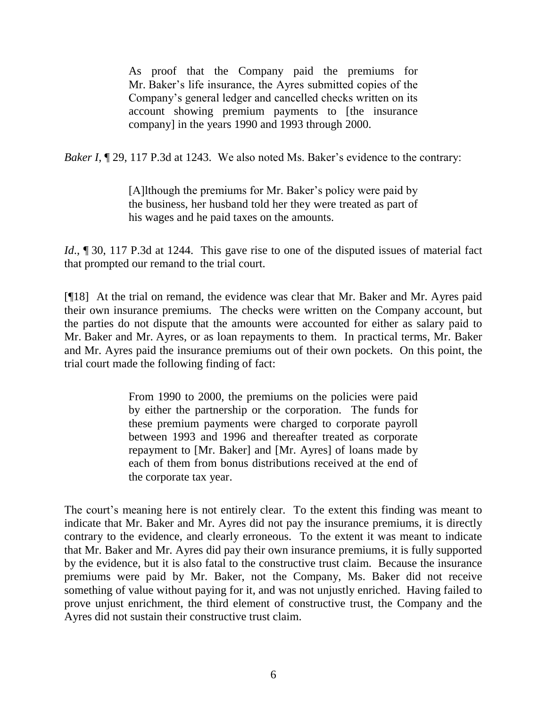As proof that the Company paid the premiums for Mr. Baker's life insurance, the Ayres submitted copies of the Company's general ledger and cancelled checks written on its account showing premium payments to [the insurance company] in the years 1990 and 1993 through 2000.

*Baker I*, 129, 117 P.3d at 1243. We also noted Ms. Baker's evidence to the contrary:

[A]lthough the premiums for Mr. Baker's policy were paid by the business, her husband told her they were treated as part of his wages and he paid taxes on the amounts.

*Id.*, ¶ 30, 117 P.3d at 1244. This gave rise to one of the disputed issues of material fact that prompted our remand to the trial court.

[¶18] At the trial on remand, the evidence was clear that Mr. Baker and Mr. Ayres paid their own insurance premiums. The checks were written on the Company account, but the parties do not dispute that the amounts were accounted for either as salary paid to Mr. Baker and Mr. Ayres, or as loan repayments to them. In practical terms, Mr. Baker and Mr. Ayres paid the insurance premiums out of their own pockets. On this point, the trial court made the following finding of fact:

> From 1990 to 2000, the premiums on the policies were paid by either the partnership or the corporation. The funds for these premium payments were charged to corporate payroll between 1993 and 1996 and thereafter treated as corporate repayment to [Mr. Baker] and [Mr. Ayres] of loans made by each of them from bonus distributions received at the end of the corporate tax year.

The court's meaning here is not entirely clear. To the extent this finding was meant to indicate that Mr. Baker and Mr. Ayres did not pay the insurance premiums, it is directly contrary to the evidence, and clearly erroneous. To the extent it was meant to indicate that Mr. Baker and Mr. Ayres did pay their own insurance premiums, it is fully supported by the evidence, but it is also fatal to the constructive trust claim. Because the insurance premiums were paid by Mr. Baker, not the Company, Ms. Baker did not receive something of value without paying for it, and was not unjustly enriched. Having failed to prove unjust enrichment, the third element of constructive trust, the Company and the Ayres did not sustain their constructive trust claim.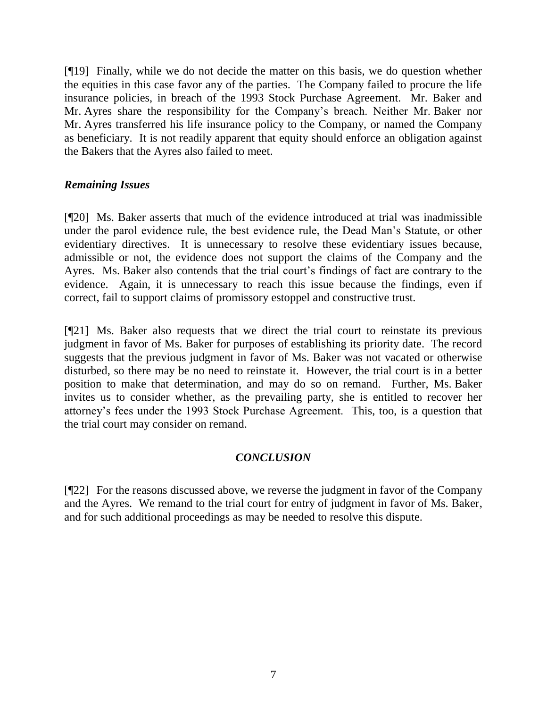[¶19] Finally, while we do not decide the matter on this basis, we do question whether the equities in this case favor any of the parties. The Company failed to procure the life insurance policies, in breach of the 1993 Stock Purchase Agreement. Mr. Baker and Mr. Ayres share the responsibility for the Company's breach. Neither Mr. Baker nor Mr. Ayres transferred his life insurance policy to the Company, or named the Company as beneficiary. It is not readily apparent that equity should enforce an obligation against the Bakers that the Ayres also failed to meet.

### *Remaining Issues*

[¶20] Ms. Baker asserts that much of the evidence introduced at trial was inadmissible under the parol evidence rule, the best evidence rule, the Dead Man's Statute, or other evidentiary directives. It is unnecessary to resolve these evidentiary issues because, admissible or not, the evidence does not support the claims of the Company and the Ayres. Ms. Baker also contends that the trial court's findings of fact are contrary to the evidence. Again, it is unnecessary to reach this issue because the findings, even if correct, fail to support claims of promissory estoppel and constructive trust.

[¶21] Ms. Baker also requests that we direct the trial court to reinstate its previous judgment in favor of Ms. Baker for purposes of establishing its priority date. The record suggests that the previous judgment in favor of Ms. Baker was not vacated or otherwise disturbed, so there may be no need to reinstate it. However, the trial court is in a better position to make that determination, and may do so on remand. Further, Ms. Baker invites us to consider whether, as the prevailing party, she is entitled to recover her attorney's fees under the 1993 Stock Purchase Agreement. This, too, is a question that the trial court may consider on remand.

## *CONCLUSION*

[¶22] For the reasons discussed above, we reverse the judgment in favor of the Company and the Ayres. We remand to the trial court for entry of judgment in favor of Ms. Baker, and for such additional proceedings as may be needed to resolve this dispute.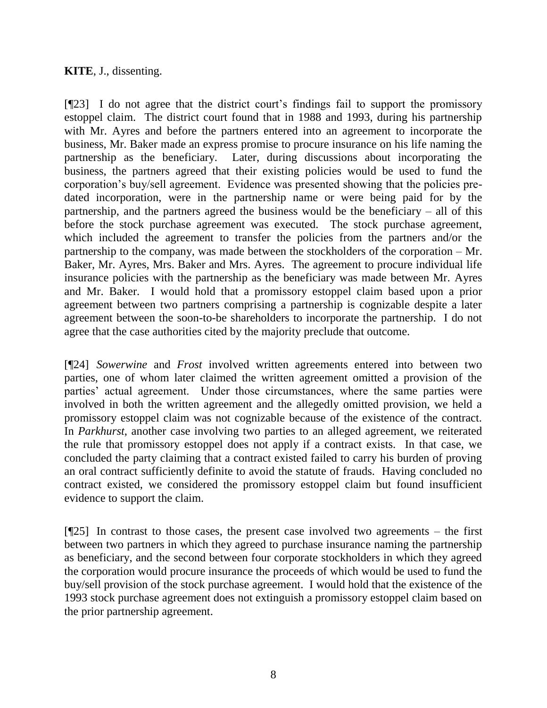## **KITE**, J., dissenting.

[¶23] I do not agree that the district court's findings fail to support the promissory estoppel claim. The district court found that in 1988 and 1993, during his partnership with Mr. Ayres and before the partners entered into an agreement to incorporate the business, Mr. Baker made an express promise to procure insurance on his life naming the partnership as the beneficiary. Later, during discussions about incorporating the business, the partners agreed that their existing policies would be used to fund the corporation's buy/sell agreement. Evidence was presented showing that the policies predated incorporation, were in the partnership name or were being paid for by the partnership, and the partners agreed the business would be the beneficiary – all of this before the stock purchase agreement was executed. The stock purchase agreement, which included the agreement to transfer the policies from the partners and/or the partnership to the company, was made between the stockholders of the corporation – Mr. Baker, Mr. Ayres, Mrs. Baker and Mrs. Ayres. The agreement to procure individual life insurance policies with the partnership as the beneficiary was made between Mr. Ayres and Mr. Baker. I would hold that a promissory estoppel claim based upon a prior agreement between two partners comprising a partnership is cognizable despite a later agreement between the soon-to-be shareholders to incorporate the partnership. I do not agree that the case authorities cited by the majority preclude that outcome.

[¶24] *Sowerwine* and *Frost* involved written agreements entered into between two parties, one of whom later claimed the written agreement omitted a provision of the parties' actual agreement. Under those circumstances, where the same parties were involved in both the written agreement and the allegedly omitted provision, we held a promissory estoppel claim was not cognizable because of the existence of the contract. In *Parkhurst*, another case involving two parties to an alleged agreement, we reiterated the rule that promissory estoppel does not apply if a contract exists. In that case, we concluded the party claiming that a contract existed failed to carry his burden of proving an oral contract sufficiently definite to avoid the statute of frauds. Having concluded no contract existed, we considered the promissory estoppel claim but found insufficient evidence to support the claim.

[¶25] In contrast to those cases, the present case involved two agreements – the first between two partners in which they agreed to purchase insurance naming the partnership as beneficiary, and the second between four corporate stockholders in which they agreed the corporation would procure insurance the proceeds of which would be used to fund the buy/sell provision of the stock purchase agreement. I would hold that the existence of the 1993 stock purchase agreement does not extinguish a promissory estoppel claim based on the prior partnership agreement.